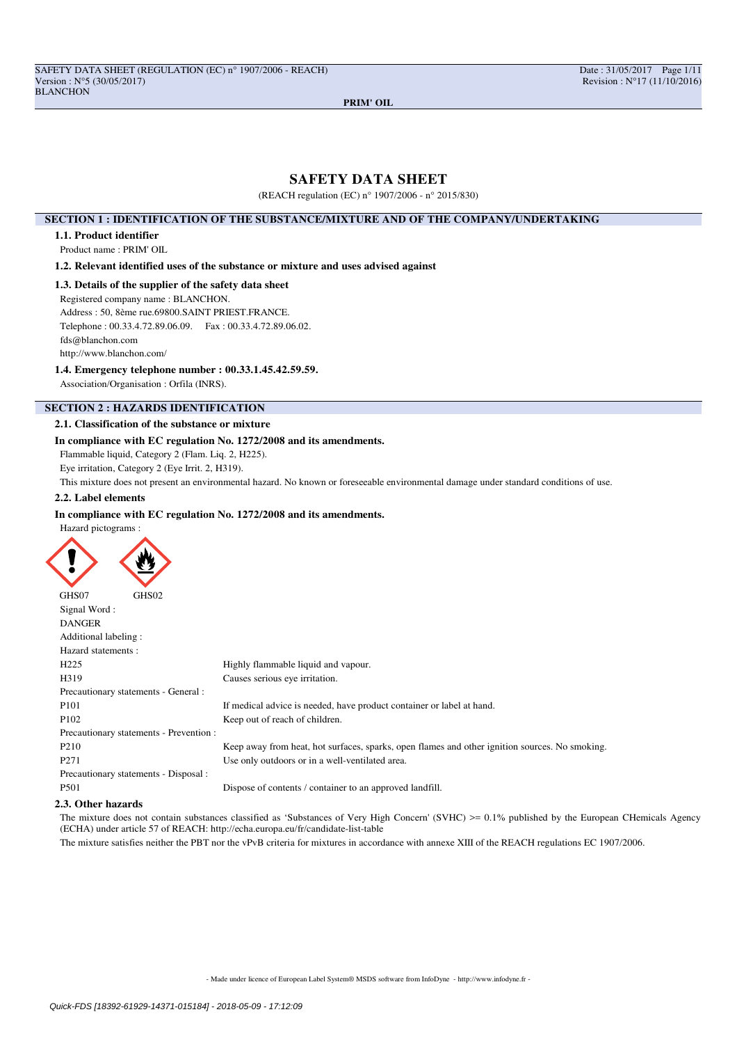# **SAFETY DATA SHEET**

(REACH regulation (EC) n° 1907/2006 - n° 2015/830)

## **SECTION 1 : IDENTIFICATION OF THE SUBSTANCE/MIXTURE AND OF THE COMPANY/UNDERTAKING**

### **1.1. Product identifier**

Product name : PRIM' OIL

**1.2. Relevant identified uses of the substance or mixture and uses advised against**

## **1.3. Details of the supplier of the safety data sheet**

Registered company name : BLANCHON.

Address : 50, 8ème rue.69800.SAINT PRIEST.FRANCE.

Telephone : 00.33.4.72.89.06.09. Fax : 00.33.4.72.89.06.02.

fds@blanchon.com

http://www.blanchon.com/

# **1.4. Emergency telephone number : 00.33.1.45.42.59.59.**

Association/Organisation : Orfila (INRS).

# **SECTION 2 : HAZARDS IDENTIFICATION**

### **2.1. Classification of the substance or mixture**

## **In compliance with EC regulation No. 1272/2008 and its amendments.**

Flammable liquid, Category 2 (Flam. Liq. 2, H225).

Eye irritation, Category 2 (Eye Irrit. 2, H319).

This mixture does not present an environmental hazard. No known or foreseeable environmental damage under standard conditions of use.

# **2.2. Label elements**

### **In compliance with EC regulation No. 1272/2008 and its amendments.**

Hazard pictograms :

ź

| GHS07<br>GHS02                          |                                                                                                |
|-----------------------------------------|------------------------------------------------------------------------------------------------|
| Signal Word:                            |                                                                                                |
| <b>DANGER</b>                           |                                                                                                |
| Additional labeling:                    |                                                                                                |
| Hazard statements:                      |                                                                                                |
| H <sub>225</sub>                        | Highly flammable liquid and vapour.                                                            |
| H319                                    | Causes serious eye irritation.                                                                 |
| Precautionary statements - General :    |                                                                                                |
| P <sub>101</sub>                        | If medical advice is needed, have product container or label at hand.                          |
| P <sub>102</sub>                        | Keep out of reach of children.                                                                 |
| Precautionary statements - Prevention : |                                                                                                |
| P <sub>210</sub>                        | Keep away from heat, hot surfaces, sparks, open flames and other ignition sources. No smoking. |
| P <sub>271</sub>                        | Use only outdoors or in a well-ventilated area.                                                |
| Precautionary statements - Disposal :   |                                                                                                |
| P501                                    | Dispose of contents / container to an approved landfill.                                       |
| .                                       |                                                                                                |

### **2.3. Other hazards**

The mixture does not contain substances classified as 'Substances of Very High Concern' (SVHC) >= 0.1% published by the European CHemicals Agency (ECHA) under article 57 of REACH: http://echa.europa.eu/fr/candidate-list-table

The mixture satisfies neither the PBT nor the vPvB criteria for mixtures in accordance with annexe XIII of the REACH regulations EC 1907/2006.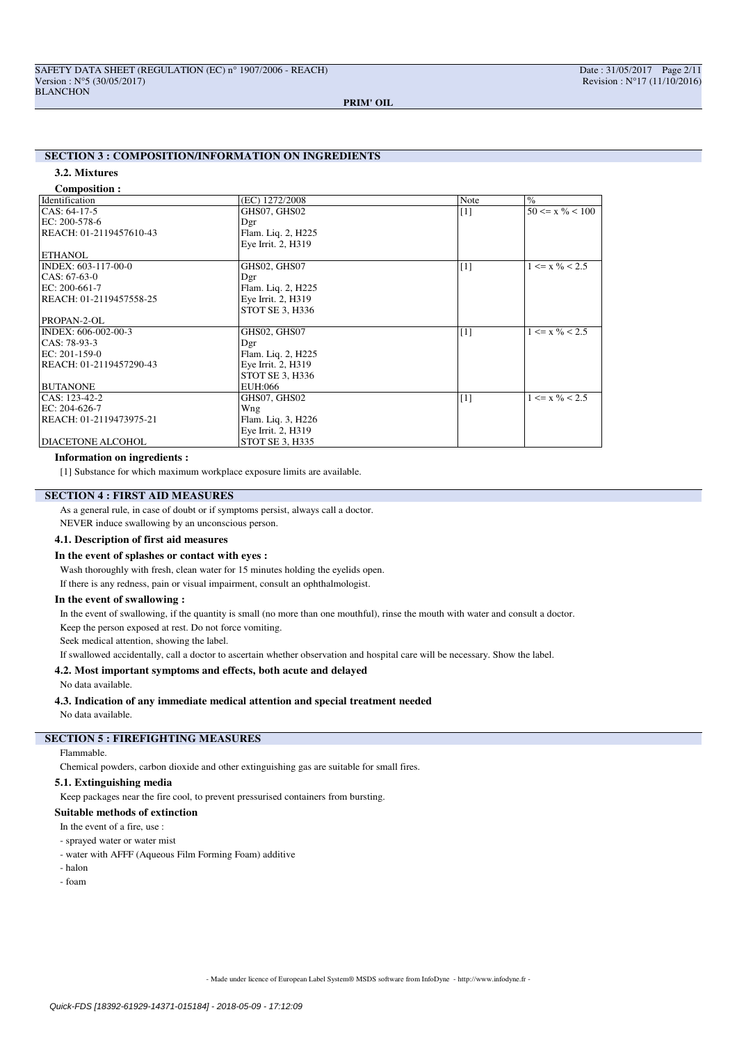# **SECTION 3 : COMPOSITION/INFORMATION ON INGREDIENTS**

## **3.2. Mixtures**

**Composition :**

| $50 \le x \% \le 100$       |
|-----------------------------|
|                             |
|                             |
|                             |
|                             |
|                             |
|                             |
| $1 \le x \frac{9}{6} < 2.5$ |
|                             |
|                             |
|                             |
|                             |
|                             |
| $1 \le x \frac{9}{6} < 2.5$ |
|                             |
|                             |
|                             |
|                             |
|                             |
| $1 \le x \frac{9}{6} < 2.5$ |
|                             |
|                             |
|                             |
|                             |
|                             |

### **Information on ingredients :**

[1] Substance for which maximum workplace exposure limits are available.

# **SECTION 4 : FIRST AID MEASURES**

As a general rule, in case of doubt or if symptoms persist, always call a doctor.

NEVER induce swallowing by an unconscious person.

# **4.1. Description of first aid measures**

### **In the event of splashes or contact with eyes :**

Wash thoroughly with fresh, clean water for 15 minutes holding the eyelids open. If there is any redness, pain or visual impairment, consult an ophthalmologist.

### **In the event of swallowing :**

In the event of swallowing, if the quantity is small (no more than one mouthful), rinse the mouth with water and consult a doctor.

Keep the person exposed at rest. Do not force vomiting.

Seek medical attention, showing the label.

If swallowed accidentally, call a doctor to ascertain whether observation and hospital care will be necessary. Show the label.

# **4.2. Most important symptoms and effects, both acute and delayed**

No data available.

### **4.3. Indication of any immediate medical attention and special treatment needed**

No data available.

# **SECTION 5 : FIREFIGHTING MEASURES**

## Flammable.

Chemical powders, carbon dioxide and other extinguishing gas are suitable for small fires.

### **5.1. Extinguishing media**

Keep packages near the fire cool, to prevent pressurised containers from bursting.

### **Suitable methods of extinction**

In the event of a fire, use :

### - sprayed water or water mist

- water with AFFF (Aqueous Film Forming Foam) additive
- halon

- foam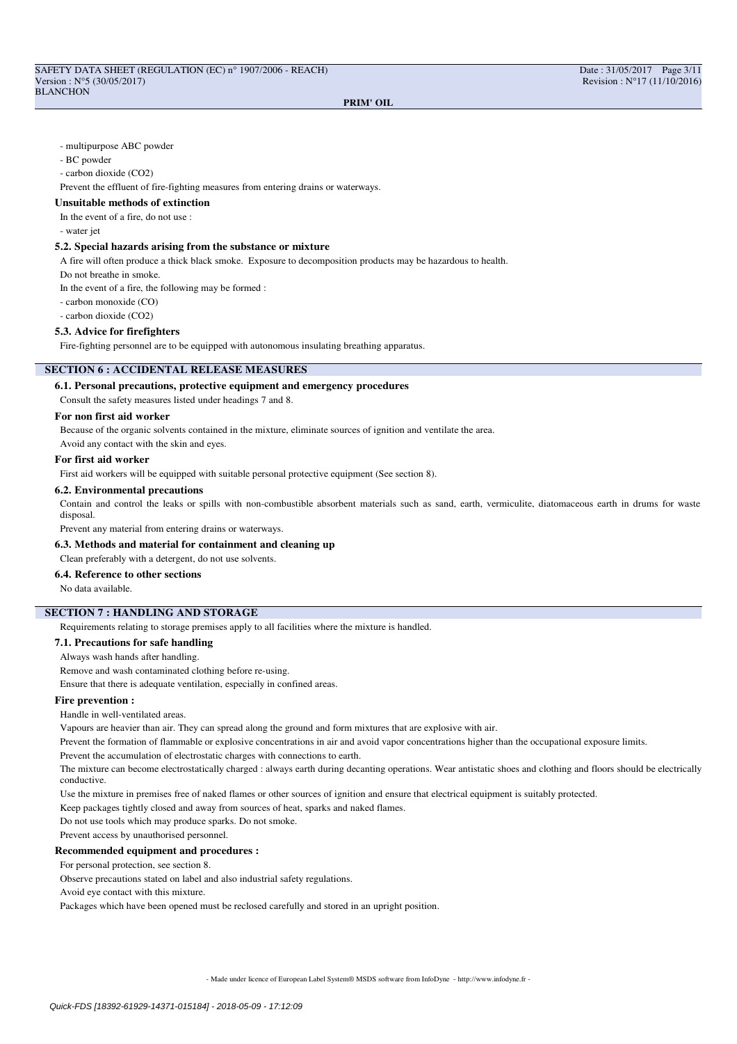### - multipurpose ABC powder

### - BC powder

- carbon dioxide (CO2)

Prevent the effluent of fire-fighting measures from entering drains or waterways.

## **Unsuitable methods of extinction**

In the event of a fire, do not use :

- water jet

### **5.2. Special hazards arising from the substance or mixture**

A fire will often produce a thick black smoke. Exposure to decomposition products may be hazardous to health.

Do not breathe in smoke.

In the event of a fire, the following may be formed :

- carbon monoxide (CO)

- carbon dioxide (CO2)

### **5.3. Advice for firefighters**

Fire-fighting personnel are to be equipped with autonomous insulating breathing apparatus.

## **SECTION 6 : ACCIDENTAL RELEASE MEASURES**

**6.1. Personal precautions, protective equipment and emergency procedures**

Consult the safety measures listed under headings 7 and 8.

### **For non first aid worker**

Because of the organic solvents contained in the mixture, eliminate sources of ignition and ventilate the area.

Avoid any contact with the skin and eyes.

### **For first aid worker**

First aid workers will be equipped with suitable personal protective equipment (See section 8).

### **6.2. Environmental precautions**

Contain and control the leaks or spills with non-combustible absorbent materials such as sand, earth, vermiculite, diatomaceous earth in drums for waste disposal.

Prevent any material from entering drains or waterways.

### **6.3. Methods and material for containment and cleaning up**

Clean preferably with a detergent, do not use solvents.

# **6.4. Reference to other sections**

No data available.

# **SECTION 7 : HANDLING AND STORAGE**

Requirements relating to storage premises apply to all facilities where the mixture is handled.

### **7.1. Precautions for safe handling**

Always wash hands after handling.

Remove and wash contaminated clothing before re-using.

Ensure that there is adequate ventilation, especially in confined areas.

## **Fire prevention :**

Handle in well-ventilated areas.

Vapours are heavier than air. They can spread along the ground and form mixtures that are explosive with air.

Prevent the formation of flammable or explosive concentrations in air and avoid vapor concentrations higher than the occupational exposure limits.

Prevent the accumulation of electrostatic charges with connections to earth.

The mixture can become electrostatically charged : always earth during decanting operations. Wear antistatic shoes and clothing and floors should be electrically conductive.

Use the mixture in premises free of naked flames or other sources of ignition and ensure that electrical equipment is suitably protected.

Keep packages tightly closed and away from sources of heat, sparks and naked flames.

Do not use tools which may produce sparks. Do not smoke.

Prevent access by unauthorised personnel.

### **Recommended equipment and procedures :**

For personal protection, see section 8.

Observe precautions stated on label and also industrial safety regulations.

Avoid eye contact with this mixture.

Packages which have been opened must be reclosed carefully and stored in an upright position.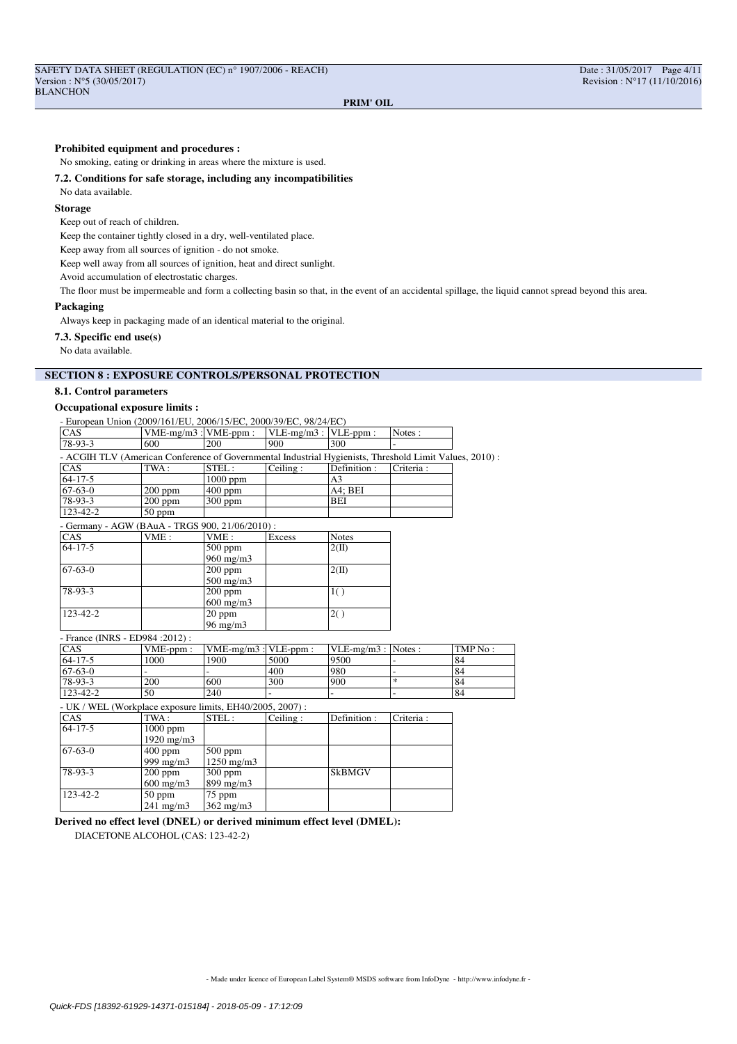### **Prohibited equipment and procedures :**

No smoking, eating or drinking in areas where the mixture is used.

## **7.2. Conditions for safe storage, including any incompatibilities**

# No data available.

# **Storage**

Keep out of reach of children.

Keep the container tightly closed in a dry, well-ventilated place.

Keep away from all sources of ignition - do not smoke.

Keep well away from all sources of ignition, heat and direct sunlight.

Avoid accumulation of electrostatic charges.

The floor must be impermeable and form a collecting basin so that, in the event of an accidental spillage, the liquid cannot spread beyond this area.

## **Packaging**

Always keep in packaging made of an identical material to the original.

### **7.3. Specific end use(s)**

No data available.

# **SECTION 8 : EXPOSURE CONTROLS/PERSONAL PROTECTION**

### **8.1. Control parameters**

### **Occupational exposure limits :**

| <b>CAS</b>     | VME-mg/m3 : VME-ppm :                                                                                   |                             | $VLE-mg/m3$ : $VLE-ppm$ : |                       | Notes:         |         |
|----------------|---------------------------------------------------------------------------------------------------------|-----------------------------|---------------------------|-----------------------|----------------|---------|
| $78-93-3$      | 600                                                                                                     | $\overline{200}$            | 900                       | 300                   |                |         |
|                | - ACGIH TLV (American Conference of Governmental Industrial Hygienists, Threshold Limit Values, 2010) : |                             |                           |                       |                |         |
| CAS            | TWA:                                                                                                    | STEL:                       | Ceiling:                  | Definition:           | Criteria:      |         |
| $64 - 17 - 5$  |                                                                                                         | $1000$ ppm                  |                           | A <sub>3</sub>        |                |         |
| $67-63-0$      | $200$ ppm                                                                                               | $400$ ppm                   |                           | A4: BEI               |                |         |
| 78-93-3        | $200$ ppm                                                                                               | $300$ ppm                   |                           | BEI                   |                |         |
| 123-42-2       | $50$ ppm                                                                                                |                             |                           |                       |                |         |
|                | - Germany - AGW (BAuA - TRGS 900, 21/06/2010) :                                                         |                             |                           |                       |                |         |
| CAS            | VME:                                                                                                    | VME:                        | Excess                    | <b>Notes</b>          |                |         |
| $64 - 17 - 5$  |                                                                                                         | $500$ ppm<br>$960$ mg/m $3$ |                           | $2(\text{II})$        |                |         |
| $67 - 63 - 0$  |                                                                                                         | $200$ ppm<br>$500$ mg/m $3$ |                           | $2(\text{II})$        |                |         |
| 78-93-3        |                                                                                                         | $200$ ppm<br>$600$ mg/m $3$ |                           | 1()                   |                |         |
| 123-42-2       |                                                                                                         | 20 ppm<br>$96 \text{ mg/m}$ |                           | 2()                   |                |         |
|                | - France (INRS - ED984 : 2012) :                                                                        |                             |                           |                       |                |         |
| CAS            | VME-ppm:                                                                                                | $VME-mg/m3$ : $VLE-ppm$ :   |                           | $VLE-mg/m3$ : Notes : |                | TMP No: |
| $64 - 17 - 5$  | 1000                                                                                                    | 1900                        | 5000                      | 9500                  |                | 84      |
| $67 - 63 - 0$  |                                                                                                         |                             | 400                       | 980                   | $\overline{a}$ | 84      |
| 78-93-3        | 200                                                                                                     | 600                         | 300                       | 900                   | $\ast$         | 84      |
| $123 - 42 - 2$ | 50                                                                                                      | 240                         |                           |                       |                | 84      |
|                | - UK / WEL (Workplace exposure limits, EH40/2005, 2007):                                                |                             |                           |                       |                |         |
| <b>CAS</b>     | TWA:                                                                                                    | STEL:                       | Ceiling:                  | Definition:           | Criteria:      |         |
| $64 - 17 - 5$  | $\overline{1000}$ ppm                                                                                   |                             |                           |                       |                |         |
|                | 1920 mg/m3                                                                                              |                             |                           |                       |                |         |
| $67 - 63 - 0$  | $400$ ppm                                                                                               | $500$ ppm                   |                           |                       |                |         |
|                | 999 mg/m3                                                                                               | $1250$ mg/m $3$             |                           |                       |                |         |
| 78-93-3        | $200$ ppm                                                                                               | $300$ ppm                   |                           | <b>SkBMGV</b>         |                |         |
|                | $600$ mg/m $3$                                                                                          | 899 mg/m3                   |                           |                       |                |         |
| 123-42-2       | 50 ppm                                                                                                  | 75 ppm                      |                           |                       |                |         |
|                | $241$ mg/m $3$                                                                                          | 362 mg/m3                   |                           |                       |                |         |

**Derived no effect level (DNEL) or derived minimum effect level (DMEL):** DIACETONE ALCOHOL (CAS: 123-42-2)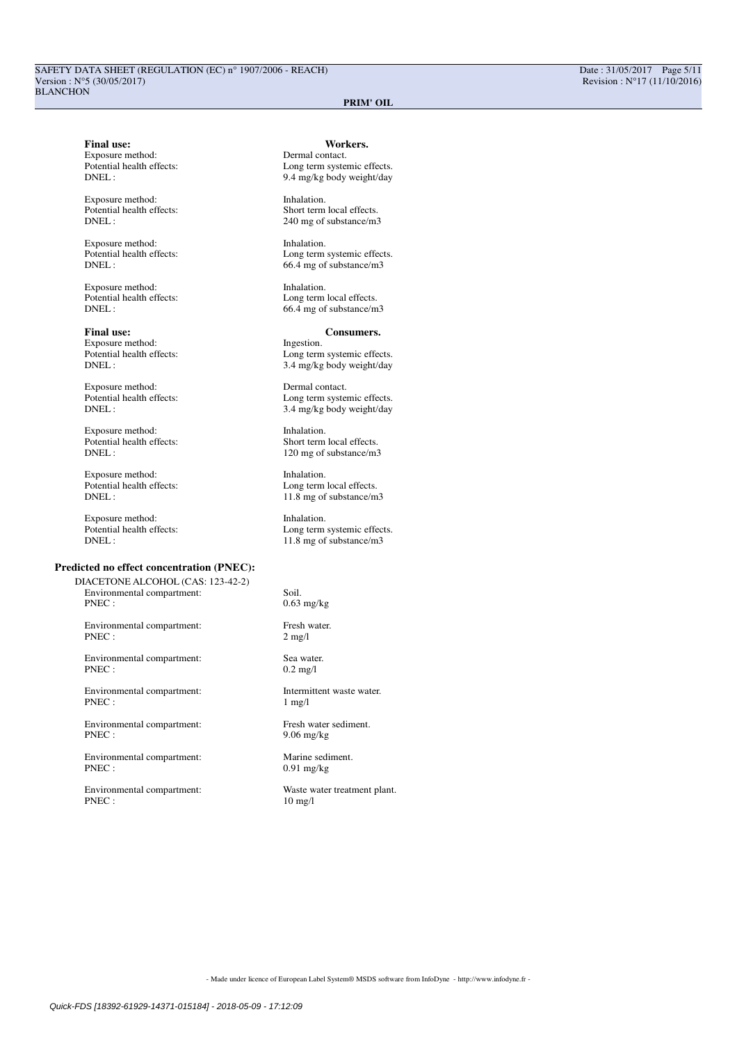**Final use:** Workers.<br>
Exposure method: Dermal contact. Exposure method:<br>Potential health effects:

Potential health effects:<br>DNEL :

Exposure method: Inhalation.<br>
Potential health effects: Inhalation.<br>
Long term

Exposure method: Inhalation.

**Final use:** Consumers.<br>Exposure method: Figestion. The exposure method: Figestion. Exposure method:<br>Potential health effects:

Exposure method: Dermal contact.<br>
Potential health effects: Long term system<br>
DNEL: 3.4 mg/kg hody

Exposure method: Inhalation.<br>
Potential health effects: Short term Potential health effects:<br>
DNEL:<br>
120 mg of substance/m.

Exposure method: Inhalation.<br>
Potential health effects: Inhalation.<br>
Long term

Exposure method: Inhalation.<br>
Potential health effects: I cong term

# **Predicted no effect concentration (PNEC):**

DIACETONE ALCOHOL (CAS: 123-42-2) Environmental compartment: Soil.<br>PNEC : 0.63

Environmental compartment: Fresh water.<br>PNEC : 2 mg/l PNEC :

Environmental compartment: Sea water. PNEC : 0.2 mg/l

 $\begin{minipage}[c]{0.9\linewidth} \textbf{Environmental compartment:} \end{minipage} \begin{minipage}[c]{0.9\linewidth} \textbf{Inscriptent waste water.} \end{minipage} \vspace{0.00000} \begin{minipage}[c]{0.9\linewidth} \textbf{Inscriptent waste water.} \end{minipage} \vspace{0.00000} \begin{minipage}[c]{0.9\linewidth} \textbf{Inscriptent water.} \end{minipage} \vspace{0.00000} \begin{minipage}[c]{0.9\linewidth} \textbf{Inscriptent water.} \end{minipage} \vspace{0.00000} \begin{minipage}[c]{0$ PNEC :

Environmental compartment:<br>
PNEC · 9 06 ms/ks

Environmental compartment: Marine sediment.<br>PNEC: 0.91 mg/kg

Potential health effects:<br>
DNEL:<br>
9.4 mg/kg body weight/day 9.4 mg/kg body weight/day

Exposure method: Inhalation.<br>
Potential health effects: Short term local effects. 240 mg of substance/m3

Potential health effects:<br>
DNEL:<br>  $66.4 \text{ mg of substance/m3}$  $66.4$  mg of substance/m3

Potential health effects:<br>
DNEL:<br>  $664 \text{ mo of substance/m}$  $66.4$  mg of substance/m3

Potential health effects:<br>
DNEL:<br>  $3.4 \text{ m}g/\text{kg}$  body weight/day 3.4 mg/kg body weight/day

> Long term systemic effects. 3.4 mg/kg body weight/day

120 mg of substance/m3

Potential health effects:<br>
DNEL:<br>  $11.8 \text{ mg of substance/m}$ 11.8 mg of substance/m3

Potential health effects:<br>
DNEL:<br>  $11.8 \text{ m}$  of substance/m3 11.8 mg of substance/m3

 $0.63$  mg/kg

 $9.06$  mg/kg

 $0.91$  mg/kg

Environmental compartment:<br>
Waste water treatment plant.<br>  $\frac{10 \text{ mg}}{10 \text{ mg}}$  $10$  mg/l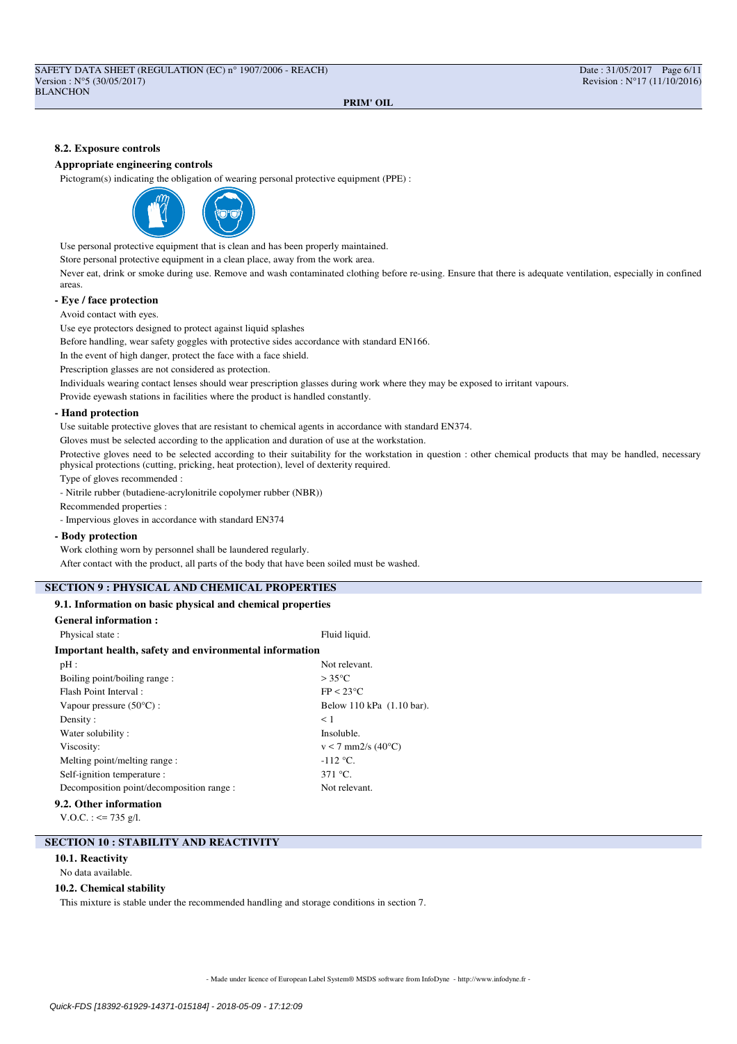### **8.2. Exposure controls**

### **Appropriate engineering controls**

Pictogram(s) indicating the obligation of wearing personal protective equipment (PPE) :



Use personal protective equipment that is clean and has been properly maintained.

Store personal protective equipment in a clean place, away from the work area.

Never eat, drink or smoke during use. Remove and wash contaminated clothing before re-using. Ensure that there is adequate ventilation, especially in confined areas.

### **- Eye / face protection**

Avoid contact with eyes.

Use eye protectors designed to protect against liquid splashes

Before handling, wear safety goggles with protective sides accordance with standard EN166.

In the event of high danger, protect the face with a face shield.

Prescription glasses are not considered as protection.

Individuals wearing contact lenses should wear prescription glasses during work where they may be exposed to irritant vapours.

Provide eyewash stations in facilities where the product is handled constantly.

### **- Hand protection**

Use suitable protective gloves that are resistant to chemical agents in accordance with standard EN374.

Gloves must be selected according to the application and duration of use at the workstation.

Protective gloves need to be selected according to their suitability for the workstation in question : other chemical products that may be handled, necessary physical protections (cutting, pricking, heat protection), level of dexterity required.

Type of gloves recommended :

- Nitrile rubber (butadiene-acrylonitrile copolymer rubber (NBR))

Recommended properties :

- Impervious gloves in accordance with standard EN374

### **- Body protection**

Work clothing worn by personnel shall be laundered regularly.

After contact with the product, all parts of the body that have been soiled must be washed.

# **SECTION 9 : PHYSICAL AND CHEMICAL PROPERTIES**

## **9.1. Information on basic physical and chemical properties**

| <b>General information:</b>                            |                                 |  |  |
|--------------------------------------------------------|---------------------------------|--|--|
| Physical state:                                        | Fluid liquid.                   |  |  |
| Important health, safety and environmental information |                                 |  |  |
| pH:                                                    | Not relevant.                   |  |  |
| Boiling point/boiling range:                           | $>35^{\circ}$ C                 |  |  |
| Flash Point Interval:                                  | FP < 23°C                       |  |  |
| Vapour pressure $(50^{\circ}C)$ :                      | Below 110 kPa (1.10 bar).       |  |  |
| Density:                                               | < 1                             |  |  |
| Water solubility:                                      | Insoluble.                      |  |  |
| Viscosity:                                             | $v < 7$ mm2/s (40 $^{\circ}$ C) |  |  |
| Melting point/melting range:                           | $-112$ °C.                      |  |  |
| Self-ignition temperature :                            | 371 °C.                         |  |  |
| Decomposition point/decomposition range :              | Not relevant.                   |  |  |
| 9.2. Other information                                 |                                 |  |  |

V.O.C. :  $\leq$  735 g/l.

## **SECTION 10 : STABILITY AND REACTIVITY**

### **10.1. Reactivity**

No data available.

### **10.2. Chemical stability**

This mixture is stable under the recommended handling and storage conditions in section 7.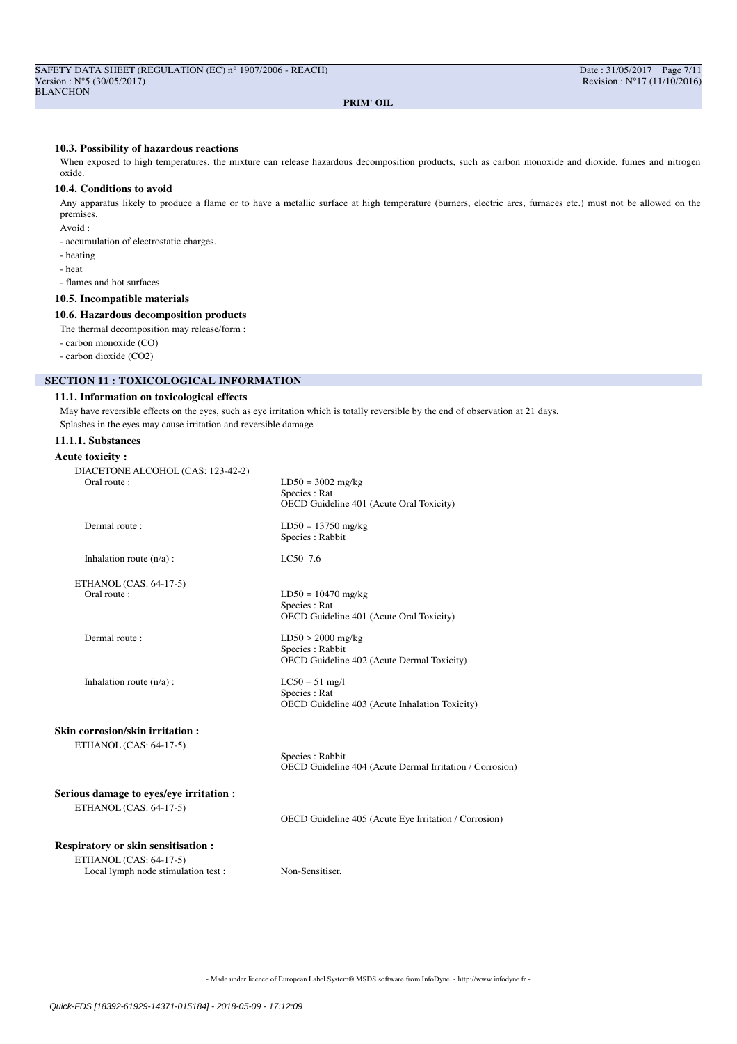### **10.3. Possibility of hazardous reactions**

When exposed to high temperatures, the mixture can release hazardous decomposition products, such as carbon monoxide and dioxide, fumes and nitrogen oxide.

## **10.4. Conditions to avoid**

Any apparatus likely to produce a flame or to have a metallic surface at high temperature (burners, electric arcs, furnaces etc.) must not be allowed on the premises.

Avoid :

- accumulation of electrostatic charges.

- heating
- heat

- flames and hot surfaces

### **10.5. Incompatible materials**

### **10.6. Hazardous decomposition products**

The thermal decomposition may release/form :

- carbon monoxide (CO)

- carbon dioxide (CO2)

# **SECTION 11 : TOXICOLOGICAL INFORMATION**

### **11.1. Information on toxicological effects**

May have reversible effects on the eyes, such as eye irritation which is totally reversible by the end of observation at 21 days. Splashes in the eyes may cause irritation and reversible damage

# **11.1.1. Substances**

# **Acute toxicity :**

| DIACETONE ALCOHOL (CAS: 123-42-2)<br>Oral route:             | $LD50 = 3002$ mg/kg                                                                  |
|--------------------------------------------------------------|--------------------------------------------------------------------------------------|
|                                                              | Species : Rat<br>OECD Guideline 401 (Acute Oral Toxicity)                            |
| Dermal route:                                                | $LD50 = 13750$ mg/kg<br>Species: Rabbit                                              |
| Inhalation route $(n/a)$ :                                   | LC50 7.6                                                                             |
| ETHANOL (CAS: 64-17-5)                                       |                                                                                      |
| Oral route:                                                  | $LD50 = 10470$ mg/kg<br>Species : Rat<br>OECD Guideline 401 (Acute Oral Toxicity)    |
| Dermal route:                                                | $LD50 > 2000$ mg/kg<br>Species: Rabbit<br>OECD Guideline 402 (Acute Dermal Toxicity) |
| Inhalation route $(n/a)$ :                                   | $LC50 = 51$ mg/l<br>Species : Rat<br>OECD Guideline 403 (Acute Inhalation Toxicity)  |
| <b>Skin corrosion/skin irritation :</b>                      |                                                                                      |
| ETHANOL (CAS: 64-17-5)                                       | Species : Rabbit<br>OECD Guideline 404 (Acute Dermal Irritation / Corrosion)         |
| Serious damage to eyes/eye irritation :                      |                                                                                      |
| ETHANOL (CAS: 64-17-5)                                       | OECD Guideline 405 (Acute Eye Irritation / Corrosion)                                |
| <b>Respiratory or skin sensitisation:</b>                    |                                                                                      |
| ETHANOL (CAS: 64-17-5)<br>Local lymph node stimulation test: | Non-Sensitiser.                                                                      |
|                                                              |                                                                                      |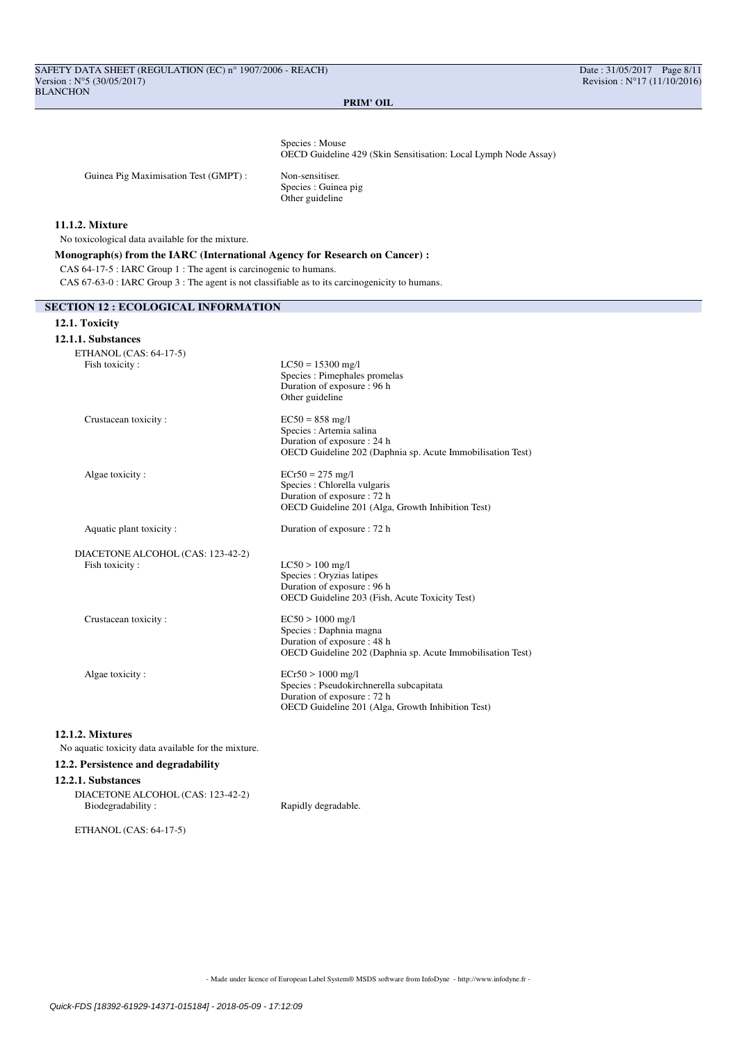Species : Mouse OECD Guideline 429 (Skin Sensitisation: Local Lymph Node Assay)

Guinea Pig Maximisation Test (GMPT) : Non-sensitiser.

Species : Guinea pig Other guideline

# **11.1.2. Mixture**

No toxicological data available for the mixture.

# **Monograph(s) from the IARC (International Agency for Research on Cancer) :** CAS 64-17-5 : IARC Group 1 : The agent is carcinogenic to humans. CAS 67-63-0 : IARC Group 3 : The agent is not classifiable as to its carcinogenicity to humans.

### **SECTION 12 : ECOLOGICAL INFORMATION**

### **12.1. Toxicity**

| 12.1.1. Substances                |                                                                                                                                                     |
|-----------------------------------|-----------------------------------------------------------------------------------------------------------------------------------------------------|
| ETHANOL (CAS: 64-17-5)            |                                                                                                                                                     |
| Fish toxicity:                    | $LC50 = 15300$ mg/l<br>Species : Pimephales promelas<br>Duration of exposure : 96 h<br>Other guideline                                              |
| Crustacean toxicity:              | $EC50 = 858$ mg/l<br>Species : Artemia salina<br>Duration of exposure : 24 h<br>OECD Guideline 202 (Daphnia sp. Acute Immobilisation Test)          |
| Algae toxicity:                   | $ECr50 = 275$ mg/l<br>Species : Chlorella vulgaris<br>Duration of exposure : 72 h<br>OECD Guideline 201 (Alga, Growth Inhibition Test)              |
| Aquatic plant toxicity:           | Duration of exposure : 72 h                                                                                                                         |
| DIACETONE ALCOHOL (CAS: 123-42-2) |                                                                                                                                                     |
| Fish toxicity:                    | $LC50 > 100$ mg/l<br>Species : Oryzias latipes<br>Duration of exposure : 96 h<br>OECD Guideline 203 (Fish, Acute Toxicity Test)                     |
| Crustacean toxicity:              | $EC50 > 1000$ mg/l<br>Species : Daphnia magna<br>Duration of exposure : 48 h<br>OECD Guideline 202 (Daphnia sp. Acute Immobilisation Test)          |
| Algae toxicity:                   | $ECr50 > 1000$ mg/l<br>Species : Pseudokirchnerella subcapitata<br>Duration of exposure : 72 h<br>OECD Guideline 201 (Alga, Growth Inhibition Test) |

## **12.1.2. Mixtures**

No aquatic toxicity data available for the mixture.

## **12.2. Persistence and degradability**

# **12.2.1. Substances**

DIACETONE ALCOHOL (CAS: 123-42-2) Rapidly degradable.

ETHANOL (CAS: 64-17-5)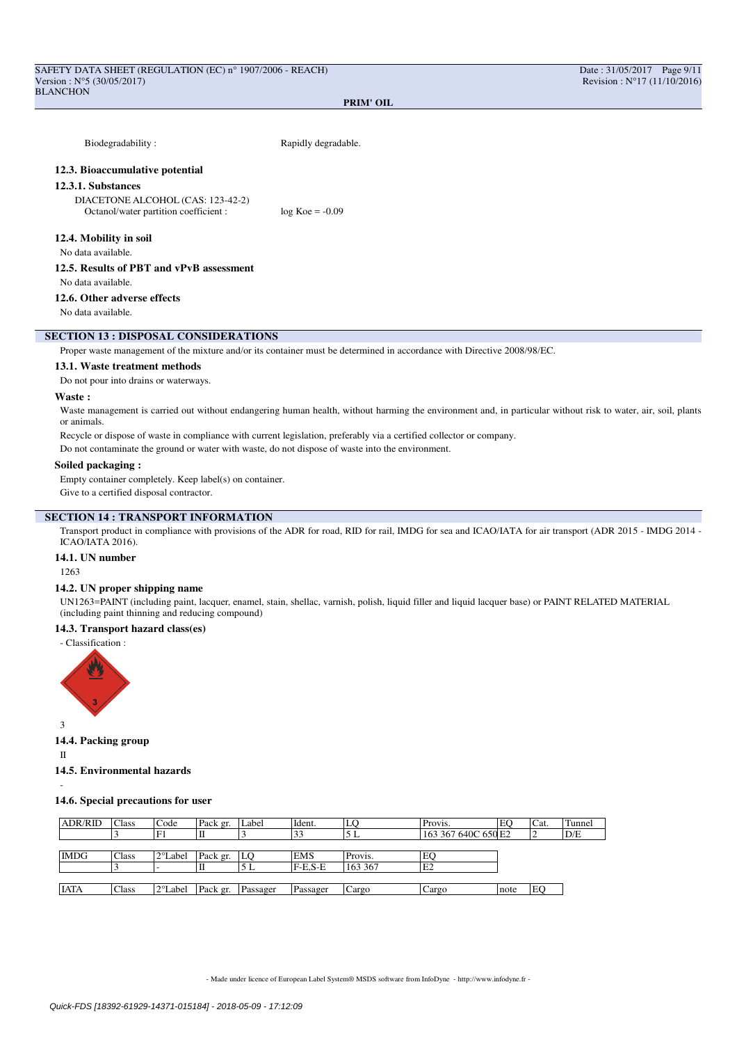| Biodegradability:                                                          | Rapidly degradable.                                                                                                                |
|----------------------------------------------------------------------------|------------------------------------------------------------------------------------------------------------------------------------|
| 12.3. Bioaccumulative potential                                            |                                                                                                                                    |
| 12.3.1. Substances                                                         |                                                                                                                                    |
| DIACETONE ALCOHOL (CAS: 123-42-2)<br>Octanol/water partition coefficient : | $log Koe = -0.09$                                                                                                                  |
| 12.4. Mobility in soil                                                     |                                                                                                                                    |
| No data available.                                                         |                                                                                                                                    |
| 12.5. Results of PBT and vPvB assessment                                   |                                                                                                                                    |
| No data available.                                                         |                                                                                                                                    |
| 12.6. Other adverse effects                                                |                                                                                                                                    |
| No data available.                                                         |                                                                                                                                    |
| <b>SECTION 13 : DISPOSAL CONSIDERATIONS</b>                                |                                                                                                                                    |
|                                                                            | Proper waste management of the mixture and/or its container must be determined in accordance with Directive 2008/98/EC.            |
| 13.1. Waste treatment methods                                              |                                                                                                                                    |
| Do not pour into drains or waterways.                                      |                                                                                                                                    |
| Waste:                                                                     |                                                                                                                                    |
|                                                                            | Waste management is carried out without endangering human health without harming the environment and in particular without risk to |

water, air, soil, plants or animals.

Recycle or dispose of waste in compliance with current legislation, preferably via a certified collector or company.

Do not contaminate the ground or water with waste, do not dispose of waste into the environment.

### **Soiled packaging :**

Empty container completely. Keep label(s) on container.

Give to a certified disposal contractor.

# **SECTION 14 : TRANSPORT INFORMATION**

Transport product in compliance with provisions of the ADR for road, RID for rail, IMDG for sea and ICAO/IATA for air transport (ADR 2015 - IMDG 2014 - ICAO/IATA 2016).

## **14.1. UN number**

1263

### **14.2. UN proper shipping name**

UN1263=PAINT (including paint, lacquer, enamel, stain, shellac, varnish, polish, liquid filler and liquid lacquer base) or PAINT RELATED MATERIAL (including paint thinning and reducing compound)

## **14.3. Transport hazard class(es)**





3

# **14.4. Packing group**

II

# **14.5. Environmental hazards**

-

# **14.6. Special precautions for user**

| <b>ADR/RID</b> | <b>Class</b> | Code              | Pack gr. | Label    | Ident.     | LO      | Provis.             | EC   | Cat. | Tunnel |
|----------------|--------------|-------------------|----------|----------|------------|---------|---------------------|------|------|--------|
|                |              | F1                |          |          | 33         | 5 L     | 163 367 640C 650 E2 |      |      | D/E    |
|                |              |                   |          |          |            |         |                     |      |      |        |
| <b>IMDG</b>    | Class        | $2^{\circ}$ Label | Pack gr. | LO.      | <b>EMS</b> | Provis. | EQ                  |      |      |        |
|                |              |                   |          | 5 L      | $F-E.S-E$  | 163 367 | E2                  |      |      |        |
|                |              |                   |          |          |            |         |                     |      |      |        |
| <b>IATA</b>    | Class        | $2^{\circ}$ Label | Pack gr. | Passager | Passager   | Cargo   | Cargo               | note | EO   |        |
|                |              |                   |          |          |            |         |                     |      |      |        |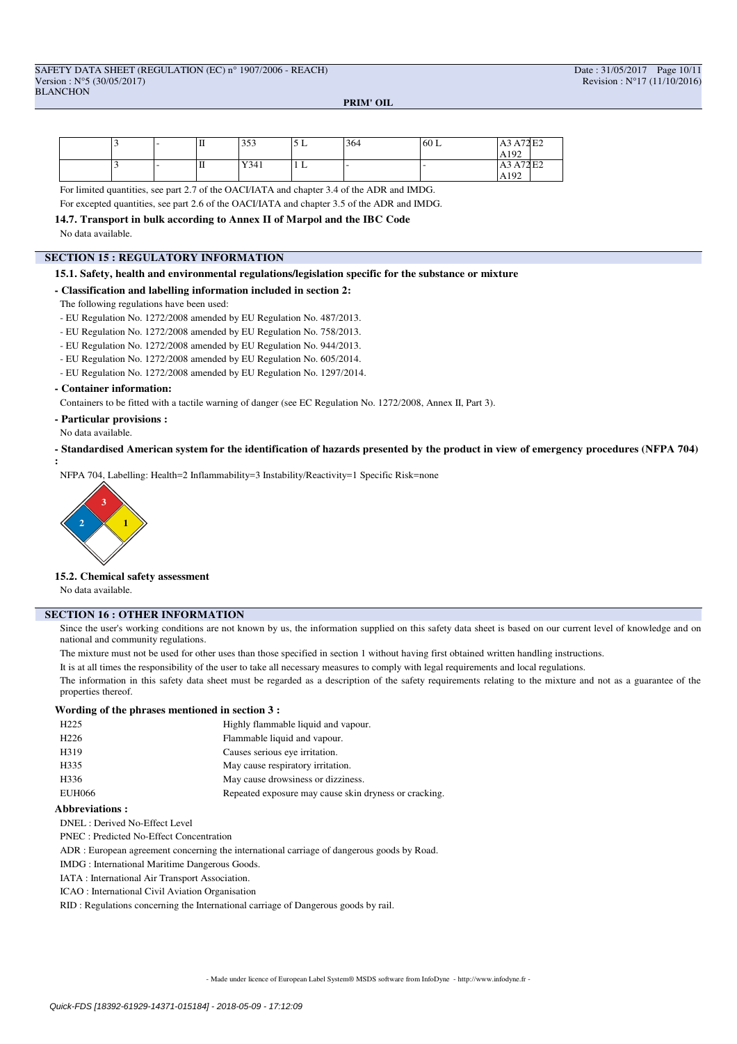|  | . . | ш | $\sim$ $\sim$ $\sim$<br>. | <u>J L</u> | 364 | 60 L | A72 E2<br>A3                                    |
|--|-----|---|---------------------------|------------|-----|------|-------------------------------------------------|
|  |     |   |                           |            |     |      | A192                                            |
|  | -   | ш | Y341                      | 1 L        |     |      | $\Delta$ 77 $\Gamma$<br>A <sub>3</sub><br>A/4E2 |
|  |     |   |                           |            |     |      | A192                                            |

For limited quantities, see part 2.7 of the OACI/IATA and chapter 3.4 of the ADR and IMDG.

For excepted quantities, see part 2.6 of the OACI/IATA and chapter 3.5 of the ADR and IMDG.

**14.7. Transport in bulk according to Annex II of Marpol and the IBC Code** No data available.

### **SECTION 15 : REGULATORY INFORMATION**

### **15.1. Safety, health and environmental regulations/legislation specific for the substance or mixture**

### **- Classification and labelling information included in section 2:**

The following regulations have been used:

- EU Regulation No. 1272/2008 amended by EU Regulation No. 487/2013.
- EU Regulation No. 1272/2008 amended by EU Regulation No. 758/2013.
- EU Regulation No. 1272/2008 amended by EU Regulation No. 944/2013.
- EU Regulation No. 1272/2008 amended by EU Regulation No. 605/2014.
- EU Regulation No. 1272/2008 amended by EU Regulation No. 1297/2014.

### **- Container information:**

Containers to be fitted with a tactile warning of danger (see EC Regulation No. 1272/2008, Annex II, Part 3).

- **Particular provisions :**
- No data available.

**- Standardised American system for the identification of hazards presented by the product in view of emergency procedures (NFPA 704) :**

NFPA 704, Labelling: Health=2 Inflammability=3 Instability/Reactivity=1 Specific Risk=none



### **15.2. Chemical safety assessment**

No data available.

### **SECTION 16 : OTHER INFORMATION**

Since the user's working conditions are not known by us, the information supplied on this safety data sheet is based on our current level of knowledge and on national and community regulations.

The mixture must not be used for other uses than those specified in section 1 without having first obtained written handling instructions.

It is at all times the responsibility of the user to take all necessary measures to comply with legal requirements and local regulations.

The information in this safety data sheet must be regarded as a description of the safety requirements relating to the mixture and not as a guarantee of the properties thereof.

## **Wording of the phrases mentioned in section 3 :**

| H <sub>225</sub> | Highly flammable liquid and vapour.                   |
|------------------|-------------------------------------------------------|
| H <sub>226</sub> | Flammable liquid and vapour.                          |
| H319             | Causes serious eye irritation.                        |
| H335             | May cause respiratory irritation.                     |
| H336             | May cause drowsiness or dizziness.                    |
| <b>EUH066</b>    | Repeated exposure may cause skin dryness or cracking. |

### **Abbreviations :**

DNEL : Derived No-Effect Level

PNEC : Predicted No-Effect Concentration

ADR : European agreement concerning the international carriage of dangerous goods by Road.

IMDG : International Maritime Dangerous Goods.

- IATA : International Air Transport Association.
- ICAO : International Civil Aviation Organisation

RID : Regulations concerning the International carriage of Dangerous goods by rail.